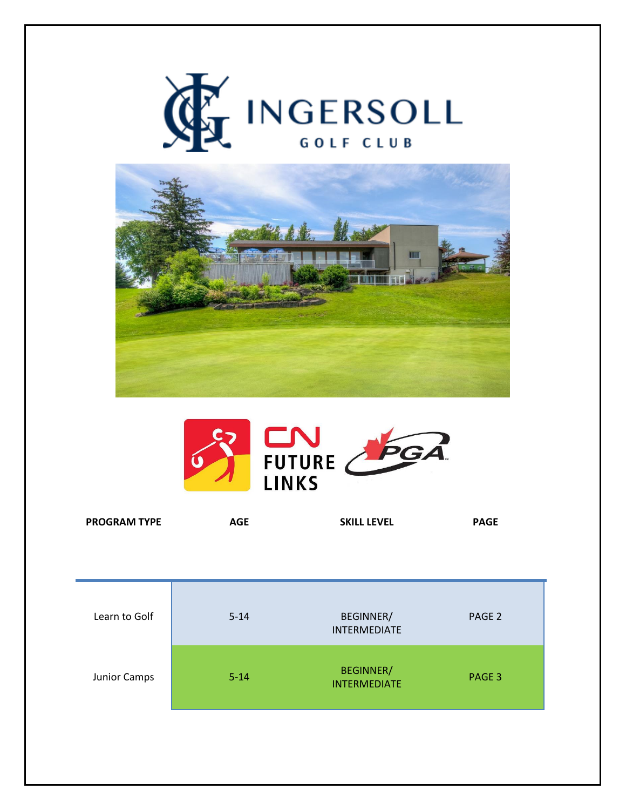





| <b>PROGRAM TYPE</b> | AGE | <b>SKILL LEVEL</b> | <b>PAGE</b> |
|---------------------|-----|--------------------|-------------|
|                     |     |                    |             |

| Learn to Golf | $5 - 14$ | <b>BEGINNER/</b><br><b>INTERMEDIATE</b> | PAGE <sub>2</sub> |
|---------------|----------|-----------------------------------------|-------------------|
| Junior Camps  | $5 - 14$ | <b>BEGINNER/</b><br><b>INTERMEDIATE</b> | PAGE 3            |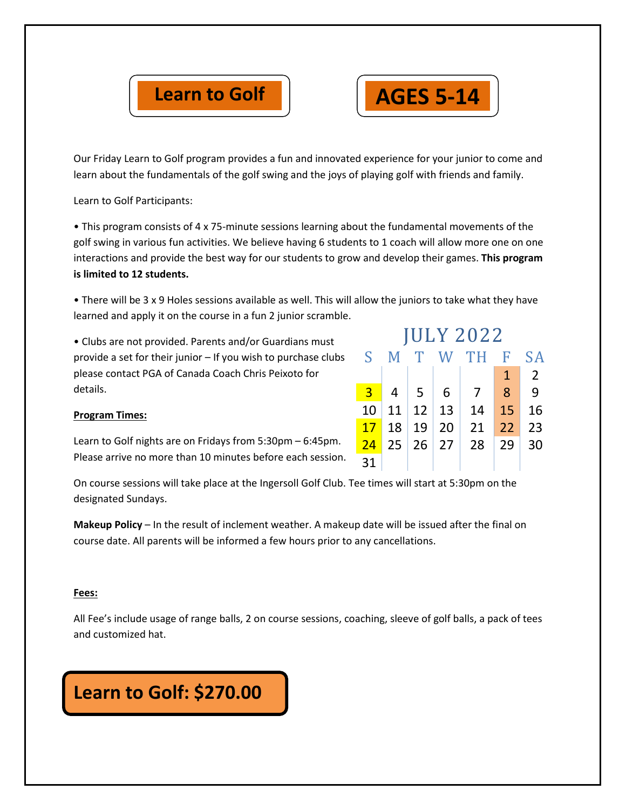



Our Friday Learn to Golf program provides a fun and innovated experience for your junior to come and learn about the fundamentals of the golf swing and the joys of playing golf with friends and family.

Learn to Golf Participants:

• This program consists of 4 x 75-minute sessions learning about the fundamental movements of the golf swing in various fun activities. We believe having 6 students to 1 coach will allow more one on one interactions and provide the best way for our students to grow and develop their games. **This program is limited to 12 students.** 

• There will be 3 x 9 Holes sessions available as well. This will allow the juniors to take what they have learned and apply it on the course in a fun 2 junior scramble.

• Clubs are not provided. Parents and/or Guardians must provide a set for their junior – If you wish to purchase clubs please contact PGA of Canada Coach Chris Peixoto for details.

| <b>JULY 2022</b> |    |              |     |      |              |                |
|------------------|----|--------------|-----|------|--------------|----------------|
| S                | M  | $\mathbf{T}$ |     | W TH | - F          | S A            |
|                  |    |              |     |      | $\mathbf{1}$ | $\overline{2}$ |
| $\overline{3}$   | 4  | -5           | - 6 | 7    | 8            | 9              |
| 10               | 11 | 12           | 13  | 14   | 15           | 16             |
| 17               | 18 | 19           | 20  | 21   | 22           | 23             |
| 24               | 25 | $26 \mid 27$ |     | 28   | 29           | 30             |
| 31               |    |              |     |      |              |                |

## **Program Times:**

Learn to Golf nights are on Fridays from 5:30pm – 6:45pm. Please arrive no more than 10 minutes before each session.

On course sessions will take place at the Ingersoll Golf Club. Tee times will start at 5:30pm on the designated Sundays.

**Makeup Policy** – In the result of inclement weather. A makeup date will be issued after the final on course date. All parents will be informed a few hours prior to any cancellations.

## **Fees:**

All Fee's include usage of range balls, 2 on course sessions, coaching, sleeve of golf balls, a pack of tees and customized hat.

## **Learn to Golf: \$270.00**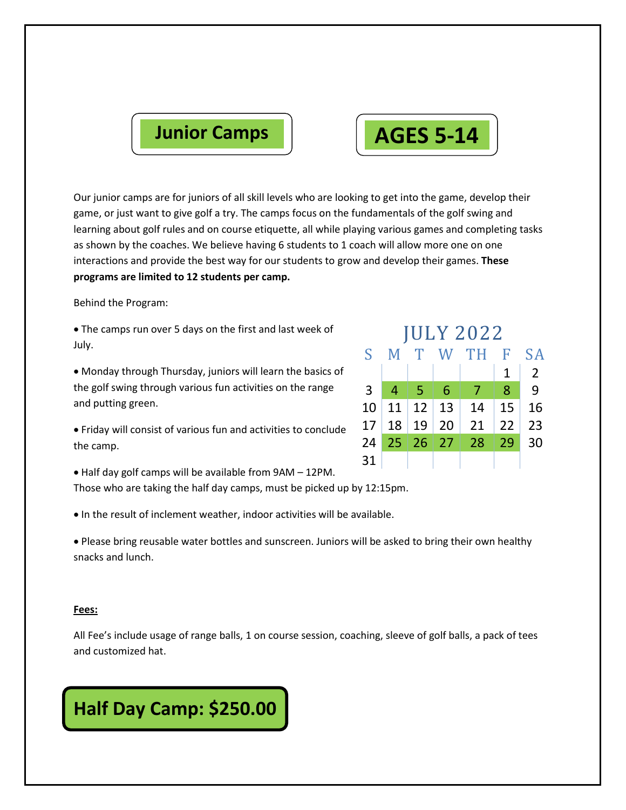

Our junior camps are for juniors of all skill levels who are looking to get into the game, develop their game, or just want to give golf a try. The camps focus on the fundamentals of the golf swing and learning about golf rules and on course etiquette, all while playing various games and completing tasks as shown by the coaches. We believe having 6 students to 1 coach will allow more one on one interactions and provide the best way for our students to grow and develop their games. **These programs are limited to 12 students per camp.** 

Behind the Program:

 The camps run over 5 days on the first and last week of July.

 Monday through Thursday, juniors will learn the basics of the golf swing through various fun activities on the range and putting green.

 Friday will consist of various fun and activities to conclude the camp.

Half day golf camps will be available from 9AM – 12PM.

Those who are taking the half day camps, must be picked up by 12:15pm.

In the result of inclement weather, indoor activities will be available.

 Please bring reusable water bottles and sunscreen. Juniors will be asked to bring their own healthy snacks and lunch.

### **Fees:**

All Fee's include usage of range balls, 1 on course session, coaching, sleeve of golf balls, a pack of tees and customized hat.

## **Half Day Camp: \$250.00**

| <b>JULY 2022</b> |                 |              |                           |        |                 |                |
|------------------|-----------------|--------------|---------------------------|--------|-----------------|----------------|
| $S_{\perp}$      | M               | T            |                           | W TH F |                 | <b>SA</b>      |
|                  |                 |              |                           |        | $\mathbf{1}$    | $\overline{2}$ |
| $\overline{3}$   | $\overline{4}$  | $\mathbf{G}$ | -6                        | 7      | 8               | 9              |
| 10 <sub>1</sub>  |                 |              | $11 \mid 12 \mid 13 \mid$ | 14     | 15              | 16             |
| 17               | 18 <sup>1</sup> | 19 20        |                           | 21     | 22              | 23             |
|                  |                 | 24 25 26 27  |                           | 28     | $\overline{29}$ | 30             |
| 31               |                 |              |                           |        |                 |                |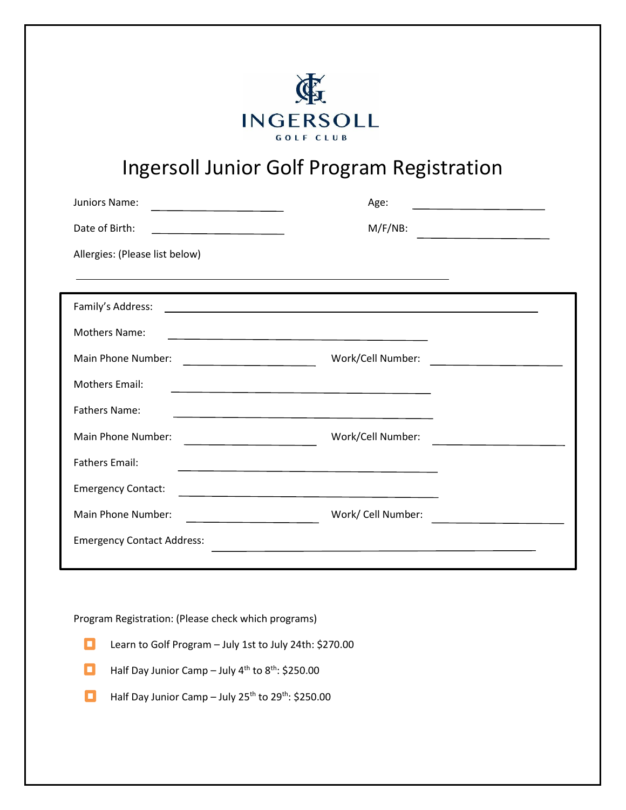

# Ingersoll Junior Golf Program Registration

| Juniors Name:<br>the contract of the contract of the contract of the contract of the contract of                                           | Age:<br>the contract of the contract of the contract of the contract of the contract of       |
|--------------------------------------------------------------------------------------------------------------------------------------------|-----------------------------------------------------------------------------------------------|
| Date of Birth:                                                                                                                             | $M/F/NB$ :<br>the contract of the contract of the contract of the contract of the contract of |
| Allergies: (Please list below)                                                                                                             |                                                                                               |
|                                                                                                                                            |                                                                                               |
| Family's Address:<br><u> 1989 - Johann Barn, mars ann an t-Amhain an t-Amhain an t-Amhain an t-Amhain an t-Amhain an t-Amhain an t-Amh</u> |                                                                                               |
| <b>Mothers Name:</b><br><u> 1989 - Johann Stoff, Amerikaansk politiker († 1908)</u>                                                        |                                                                                               |
| Main Phone Number:                                                                                                                         | Work/Cell Number:                                                                             |
| <b>Mothers Email:</b><br><u> 1989 - Johann Barbara, martxa alemaniar arg</u>                                                               |                                                                                               |
| <b>Fathers Name:</b><br><u> 1980 - Johann Barbara, martxa alemaniar arg</u>                                                                |                                                                                               |
| Main Phone Number:                                                                                                                         | Work/Cell Number:                                                                             |
| <b>Fathers Email:</b>                                                                                                                      |                                                                                               |
| <b>Emergency Contact:</b><br><u> 1989 - Johann Barbara, martxa alemaniar arg</u>                                                           |                                                                                               |
| Main Phone Number:                                                                                                                         | Work/ Cell Number:                                                                            |
| <b>Emergency Contact Address:</b>                                                                                                          |                                                                                               |
|                                                                                                                                            |                                                                                               |

Program Registration: (Please check which programs)



- Half Day Junior Camp July 4<sup>th</sup> to 8<sup>th</sup>: \$250.00 О
- Half Day Junior Camp July 25<sup>th</sup> to 29<sup>th</sup>: \$250.00 о